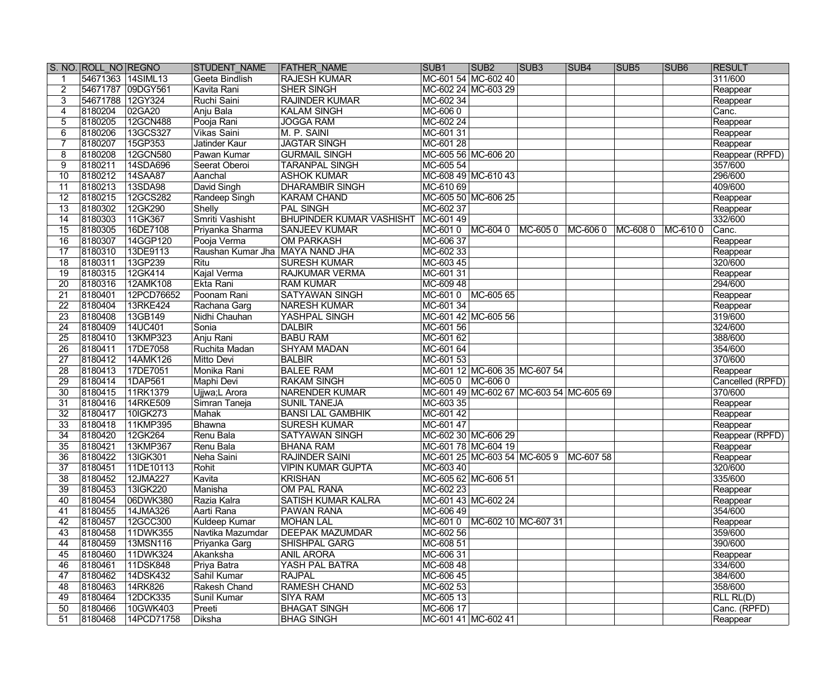|                 | S. NO. ROLL NO REGNO |                   | STUDENT NAME                    | <b>FATHER NAME</b>              | SUB <sub>1</sub>    | SUB <sub>2</sub>              | SUB3                                    | SUB4    | <b>SUB5</b> | SUB <sub>6</sub> | <b>RESULT</b>    |
|-----------------|----------------------|-------------------|---------------------------------|---------------------------------|---------------------|-------------------------------|-----------------------------------------|---------|-------------|------------------|------------------|
|                 |                      | 54671363 14SIML13 | Geeta Bindlish                  | <b>RAJESH KUMAR</b>             |                     | MC-601 54 MC-602 40           |                                         |         |             |                  | 311/600          |
|                 |                      | 54671787 09DGY561 | Kavita Rani                     | <b>SHER SINGH</b>               |                     | MC-602 24 MC-603 29           |                                         |         |             |                  | Reappear         |
|                 | 54671788 12GY324     |                   | Ruchi Saini                     | <b>RAJINDER KUMAR</b>           | MC-602 34           |                               |                                         |         |             |                  | Reappear         |
|                 | 8180204              | 02GA20            | Anju Bala                       | <b>KALAM SINGH</b>              | MC-6060             |                               |                                         |         |             |                  | Canc.            |
|                 | 8180205              | 12GCN488          | Pooja Rani                      | <b>JOGGA RAM</b>                | MC-602 24           |                               |                                         |         |             |                  | Reappear         |
| 6               | 8180206              | 13GCS327          | <b>Vikas Saini</b>              | M. P. SAINI                     | MC-601 31           |                               |                                         |         |             |                  | Reappear         |
|                 | 8180207              | 15GP353           | Jatinder Kaur                   | <b>JAGTAR SINGH</b>             | MC-601 28           |                               |                                         |         |             |                  | Reappear         |
| 8               | 8180208              | 12GCN580          | Pawan Kumar                     | <b>GURMAIL SINGH</b>            |                     | MC-605 56 MC-606 20           |                                         |         |             |                  | Reappear (RPFD)  |
| 9               | 8180211              | 14SDA696          | Seerat Oberoi                   | <b>TARANPAL SINGH</b>           | MC-605 54           |                               |                                         |         |             |                  | 357/600          |
| 10              | 8180212              | 14SAA87           | Aanchal                         | <b>ASHOK KUMAR</b>              | MC-608 49 MC-610 43 |                               |                                         |         |             |                  | 296/600          |
| 11              | 8180213              | 13SDA98           | David Singh                     | <b>DHARAMBIR SINGH</b>          | MC-610 69           |                               |                                         |         |             |                  | 409/600          |
| 12              | 8180215              | 12GCS282          | Randeep Singh                   | KARAM CHAND                     |                     | MC-605 50 MC-606 25           |                                         |         |             |                  | Reappear         |
| $\overline{13}$ | 8180302              | 12GK290           | Shelly                          | <b>PAL SINGH</b>                | MC-602 37           |                               |                                         |         |             |                  | Reappear         |
| 14              | 8180303              | 11GK367           | Smriti Vashisht                 | <b>BHUPINDER KUMAR VASHISHT</b> | MC-601 49           |                               |                                         |         |             |                  | 332/600          |
| 15              | 8180305              | 16DE7108          | Priyanka Sharma                 | <b>SANJEEV KUMAR</b>            | MC-601 0 MC-604 0   |                               | MC-6050                                 | MC-6060 | MC-6080     | MC-6100          | Canc.            |
| 16              | 8180307              | 14GGP120          | Pooja Verma                     | <b>OM PARKASH</b>               | MC-606 37           |                               |                                         |         |             |                  | Reappear         |
| 17              | 8180310              | 13DE9113          | Raushan Kumar Jha MAYA NAND JHA |                                 | MC-602 33           |                               |                                         |         |             |                  | Reappear         |
| 18              | 8180311              | 13GP239           | Ritu                            | <b>SURESH KUMAR</b>             | MC-603 45           |                               |                                         |         |             |                  | 320/600          |
| 19              | 8180315              | 12GK414           | <b>Kajal Verma</b>              | <b>RAJKUMAR VERMA</b>           | MC-601 31           |                               |                                         |         |             |                  | Reappear         |
| 20              | 8180316              | 12AMK108          | Ekta Rani                       | <b>RAM KUMAR</b>                | MC-609 48           |                               |                                         |         |             |                  | 294/600          |
| 21              | 8180401              | 12PCD76652        | Poonam Rani                     | <b>SATYAWAN SINGH</b>           | MC-601 0            | MC-605 65                     |                                         |         |             |                  | Reappear         |
| 22              | 8180404              | 13RKE424          | Rachana Garg                    | <b>NARESH KUMAR</b>             | MC-601 34           |                               |                                         |         |             |                  | Reappear         |
| 23              | 8180408              | 13GB149           | Nidhi Chauhan                   | YASHPAL SINGH                   |                     | MC-601 42 MC-605 56           |                                         |         |             |                  | 319/600          |
| 24              | 8180409              | 14UC401           | Sonia                           | <b>DALBIR</b>                   | MC-601 56           |                               |                                         |         |             |                  | 324/600          |
| 25              | 8180410              | 13KMP323          | Anju Rani                       | <b>BABU RAM</b>                 | MC-601 62           |                               |                                         |         |             |                  | 388/600          |
| 26              | 8180411              | 17DE7058          | Ruchita Madan                   | <b>SHYAM MADAN</b>              | MC-601 64           |                               |                                         |         |             |                  | 354/600          |
| 27              | 8180412              | 14AMK126          | Mitto Devi                      | <b>BALBIR</b>                   | MC-601 53           |                               |                                         |         |             |                  | 370/600          |
| 28              | 8180413              | 17DE7051          | Monika Rani                     | <b>BALEE RAM</b>                |                     | MC-601 12 MC-606 35 MC-607 54 |                                         |         |             |                  | Reappear         |
| 29              | 8180414              | 1DAP561           | Maphi Devi                      | <b>RAKAM SINGH</b>              | MC-605 0 MC-606 0   |                               |                                         |         |             |                  | Cancelled (RPFD) |
| $\overline{30}$ | 8180415              | 11RK1379          | Ujjwa;L Arora                   | <b>NARENDER KUMAR</b>           |                     |                               | MC-601 49 MC-602 67 MC-603 54 MC-605 69 |         |             |                  | 370/600          |
| 31              | 8180416              | 14RKE509          | Simran Taneja                   | <b>SUNIL TANEJA</b>             | MC-603 35           |                               |                                         |         |             |                  | Reappear         |
| $\overline{32}$ | 8180417              | 10IGK273          | Mahak                           | <b>BANSI LAL GAMBHIK</b>        | MC-601 42           |                               |                                         |         |             |                  | Reappear         |
| $\overline{33}$ | 8180418              | 11KMP395          | Bhawna                          | <b>SURESH KUMAR</b>             | MC-601 47           |                               |                                         |         |             |                  | Reappear         |
| 34              | 8180420              | 12GK264           | Renu Bala                       | <b>SATYAWAN SINGH</b>           |                     | MC-602 30 MC-606 29           |                                         |         |             |                  | Reappear (RPFD)  |
| $\overline{35}$ | 8180421              | 13KMP367          | Renu Bala                       | <b>BHANA RAM</b>                |                     | MC-601 78 MC-604 19           |                                         |         |             |                  | Reappear         |
| $\overline{36}$ | 8180422              | 13IGK301          | Neha Saini                      | <b>RAJINDER SAINI</b>           |                     |                               | MC-601 25 MC-603 54 MC-605 9 MC-607 58  |         |             |                  | Reappear         |
| 37              | 8180451              | 11DE10113         | Rohit                           | <b>VIPIN KUMAR GUPTA</b>        | MC-603 40           |                               |                                         |         |             |                  | 320/600          |
| 38              | 8180452              | 12JMA227          | Kavita                          | <b>KRISHAN</b>                  | MC-605 62 MC-606 51 |                               |                                         |         |             |                  | 335/600          |
| 39              | 8180453              | 13IGK220          | Manisha                         | OM PAL RANA                     | MC-602 23           |                               |                                         |         |             |                  | Reappear         |
| 40              | 8180454              | 06DWK380          | Razia Kalra                     | <b>SATISH KUMAR KALRA</b>       |                     | MC-601 43 MC-602 24           |                                         |         |             |                  | Reappear         |
| 41              | 8180455              | 14JMA326          | Aarti Rana                      | <b>PAWAN RANA</b>               | MC-606 49           |                               |                                         |         |             |                  | 354/600          |
| 42              | 8180457              | 12GCC300          | Kuldeep Kumar                   | <b>MOHAN LAL</b>                | MC-6010             | MC-602 10 MC-607 31           |                                         |         |             |                  | Reappear         |
| 43              | 8180458              | 11DWK355          | Navtika Mazumdar                | <b>DEEPAK MAZUMDAR</b>          | MC-602 56           |                               |                                         |         |             |                  | 359/600          |
| 44              | 8180459              | 13MSN116          | Priyanka Garg                   | SHISHPAL GARG                   | MC-608 51           |                               |                                         |         |             |                  | 390/600          |
| 45              | 8180460              | 11DWK324          | Akanksha                        | <b>ANIL ARORA</b>               | MC-606 31           |                               |                                         |         |             |                  | Reappear         |
| 46              | 8180461              | 11DSK848          | Priya Batra                     | YASH PAL BATRA                  | MC-608 48           |                               |                                         |         |             |                  | 334/600          |
| 47              | 8180462              | 14DSK432          | Sahil Kumar                     | <b>RAJPAL</b>                   | MC-606 45           |                               |                                         |         |             |                  | 384/600          |
| 48              | 8180463              | 14RK826           | Rakesh Chand                    | <b>RAMESH CHAND</b>             | MC-602 53           |                               |                                         |         |             |                  | 358/600          |
| 49              | 8180464              | 12DCK335          | Sunil Kumar                     | <b>SIYA RAM</b>                 | MC-605 13           |                               |                                         |         |             |                  | RLL RL(D)        |
| 50              | 8180466              | 10GWK403          | Preeti                          | <b>BHAGAT SINGH</b>             | MC-606 17           |                               |                                         |         |             |                  | Canc. (RPFD)     |
| 51              | 8180468              | 14PCD71758        | Diksha                          | <b>BHAG SINGH</b>               |                     | MC-601 41 MC-602 41           |                                         |         |             |                  | Reappear         |
|                 |                      |                   |                                 |                                 |                     |                               |                                         |         |             |                  |                  |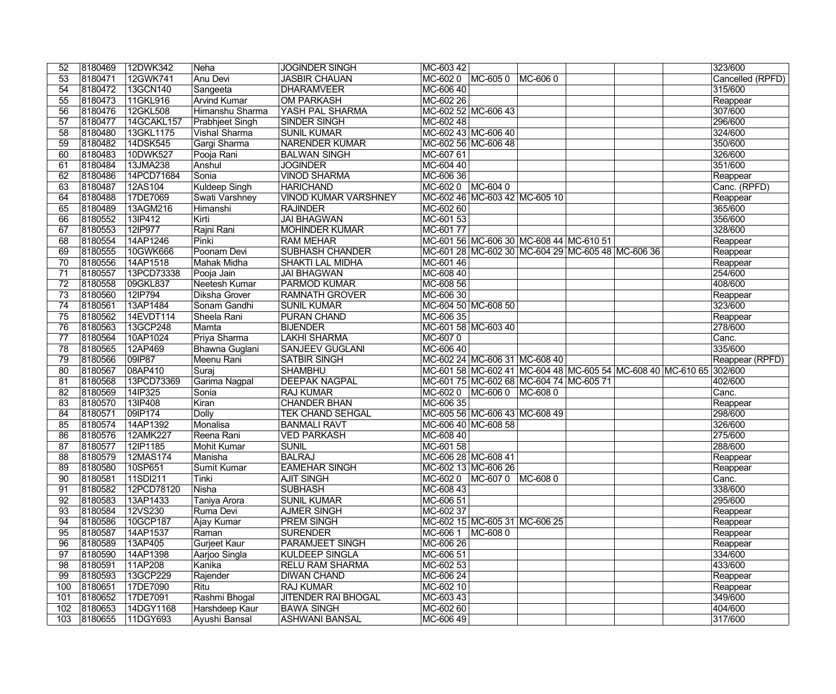| 12DWK342<br>8180469<br><b>JOGINDER SINGH</b><br>MC-603 42                                                                        | 323/600          |
|----------------------------------------------------------------------------------------------------------------------------------|------------------|
| $\overline{53}$<br>12GWK741<br><b>JASBIR CHAUAN</b><br>8180471<br>Anu Devi<br>MC-602 0<br>MC-6050<br>MC-6060                     | Cancelled (RPFD) |
| 54<br>8180472<br>13GCN140<br>MC-606 40<br><b>DHARAMVEER</b><br>Sangeeta                                                          | 315/600          |
| $\overline{55}$<br><b>Arvind Kumar</b><br>8180473<br>11GKL916<br><b>OM PARKASH</b><br>MC-602 26                                  | Reappear         |
| $\overline{56}$<br>MC-602 52 MC-606 43<br>8180476<br>12GKL508<br>Himanshu Sharma<br>YASH PAL SHARMA                              | 307/600          |
| 57<br>8180477<br>14GCAKL157<br>MC-602 48<br>Prabhjeet Singh<br><b>SINDER SINGH</b>                                               | 296/600          |
| $\overline{58}$<br>MC-602 43 MC-606 40<br>8180480<br>13GKL1175<br><b>Vishal Sharma</b><br><b>SUNIL KUMAR</b>                     | 324/600          |
| 59<br>Gargi Sharma<br>8180482<br>14DSK545<br>NARENDER KUMAR<br>MC-602 56 MC-606 48                                               | 350/600          |
| 60<br>8180483<br>10DWK527<br>Pooja Rani<br><b>BALWAN SINGH</b><br>MC-607 61                                                      | 326/600          |
| MC-604 40<br>61<br>8180484<br>13JMA238<br>Anshul<br><b>JOGINDER</b>                                                              | 351/600          |
| 14PCD71684<br>62<br>8180486<br><b>VINOD SHARMA</b><br>MC-606 36<br>Sonia                                                         | Reappear         |
| Kuldeep Singh<br>MC-602 0 MC-604 0<br>63<br>12AS104<br><b>HARICHAND</b><br>8180487                                               | Canc. (RPFD)     |
| MC-602 46 MC-603 42 MC-605 10<br>8180488<br>17DE7069<br>Swati Varshney<br><b>VINOD KUMAR VARSHNEY</b><br>64                      | Reappear         |
| 13AGM216<br>65<br>8180489<br>Himanshi<br><b>RAJINDER</b><br>MC-602 60                                                            | 365/600          |
| MC-601 53<br>66<br>8180552<br>13IP412<br>Kirti<br><b>JAI BHAGWAN</b>                                                             | 356/600          |
| 12IP977<br>Rajni Rani<br>MC-601 77<br>67<br>8180553<br><b>MOHINDER KUMAR</b>                                                     | 328/600          |
| 68<br>8180554<br>14AP1246<br>$\overline{\mathsf{Pinki}}$<br>MC-601 56 MC-606 30 MC-608 44 MC-610 51<br><b>RAM MEHAR</b>          | Reappear         |
| 69<br>8180555<br>10GWK666<br>Poonam Devi<br><b>SUBHASH CHANDER</b><br>MC-601 28 MC-602 30 MC-604 29 MC-605 48 MC-606 36          | Reappear         |
| $\overline{70}$<br>14AP1518<br>MC-601 46<br>8180556<br>Mahak Midha<br><b>SHAKTI LAL MIDHA</b>                                    | Reappear         |
| 13PCD73338<br><b>JAI BHAGWAN</b><br>MC-608 40<br>71<br>8180557<br>Pooja Jain                                                     | 254/600          |
| $\overline{72}$<br>09GKL837<br>Neetesh Kumar<br><b>PARMOD KUMAR</b><br>MC-608 56<br>8180558                                      | 408/600          |
| MC-606 30                                                                                                                        |                  |
| $\overline{73}$<br>8180560<br>12IP794<br><b>RAMNATH GROVER</b><br>Diksha Grover                                                  | Reappear         |
| 13AP1484<br>74<br>8180561<br>Sonam Gandhi<br><b>SUNIL KUMAR</b><br>MC-604 50 MC-608 50                                           | 323/600          |
| MC-606 35<br>$\overline{75}$<br>8180562<br>14EVDT114<br>Sheela Rani<br><b>PURAN CHAND</b>                                        | Reappear         |
| 76<br>13GCP248<br><b>BIJENDER</b><br>8180563<br>Mamta<br>MC-601 58 MC-603 40                                                     | 278/600          |
| 8180564<br><b>LAKHI SHARMA</b><br>MC-6070<br>77<br>10AP1024<br>Priya Sharma                                                      | Canc.            |
| 78<br>8180565<br>12AP469<br>Bhawna Guglani<br><b>SANJEEV GUGLANI</b><br>MC-606 40                                                | 335/600          |
| 79<br>09IP87<br>Meenu Rani<br>MC-602 24 MC-606 31 MC-608 40<br>8180566<br><b>SATBIR SINGH</b>                                    | Reappear (RPFD)  |
| $\overline{80}$<br>08AP410<br>SHAMBHU<br>MC-601 58 MC-602 41 MC-604 48 MC-605 54 MC-608 40 MC-610 65 302/600<br>8180567<br>Suraj |                  |
| 13PCD73369<br>Garima Nagpal<br><b>DEEPAK NAGPAL</b><br>MC-601 75 MC-602 68 MC-604 74 MC-605 71<br>81<br>8180568                  | 402/600          |
| $\overline{82}$<br>8180569<br>14IP325<br><b>RAJ KUMAR</b><br>MC-602 0 MC-606 0 MC-608 0<br>Sonia                                 | Canc.            |
| MC-606 35<br>$\overline{83}$<br>8180570<br>13IP408<br><b>CHANDER BHAN</b><br>Kiran                                               | Reappear         |
| 8180571<br>09IP174<br><b>TEK CHAND SEHGAL</b><br>MC-605 56 MC-606 43 MC-608 49<br>84<br><b>Dolly</b>                             | 298/600          |
| 14AP1392<br><b>BANMALI RAVT</b><br>MC-606 40 MC-608 58<br>85<br>8180574<br>Monalisa                                              | 326/600          |
| 86<br>8180576<br>12AMK227<br><b>VED PARKASH</b><br>MC-608 40<br>Reena Rani                                                       | 275/600          |
| MC-601 58<br>87<br>8180577<br>12IP1185<br><b>SUNIL</b><br>Mohit Kumar                                                            | 288/600          |
| <b>BALRAJ</b><br>8180579<br>12MAS174<br>MC-606 28 MC-608 41<br>$\overline{88}$<br>Manisha                                        | Reappear         |
| 89<br>10SP651<br><b>EAMEHAR SINGH</b><br>MC-602 13 MC-606 26<br>8180580<br>Sumit Kumar                                           | Reappear         |
| MC-602 0 MC-607 0<br>90<br>8180581<br>11SDI211<br>Tinki<br><b>AJIT SINGH</b><br>MC-6080                                          | Canc.            |
| 8180582<br>12PCD78120<br>MC-608 43<br><b>SUBHASH</b><br>91<br>Nisha                                                              | 338/600          |
| MC-606 51<br>92<br>8180583<br>13AP1433<br>Taniya Arora<br><b>SUNIL KUMAR</b>                                                     | 295/600          |
| 93<br>12VS230<br>MC-602 37<br>8180584<br><b>AJMER SINGH</b><br>Ruma Devi                                                         | Reappear         |
| 94<br>10GCP187<br> MC-602 15  MC-605 31  MC-606 25<br>8180586<br>Ajay Kumar<br><b>PREM SINGH</b>                                 | Reappear         |
| 95<br>8180587<br>MC-606 1<br>14AP1537<br>Raman<br>SURENDER<br>MC-608 0                                                           | Reappear         |
| $\overline{96}$<br>8180589<br>13AP405<br>Gurjeet Kaur<br><b>PARAMJEET SINGH</b><br>MC-606 26                                     | Reappear         |
| 97<br>8180590<br>14AP1398<br>Aarjoo Singla<br>KULDEEP SINGLA<br>MC-606 51                                                        | 334/600          |
| $MC-60253$<br>98<br>8180591<br>11AP208<br>Kanika<br><b>RELU RAM SHARMA</b>                                                       | 433/600          |
| 99<br>13GCP229<br>Rajender<br>MC-606 24<br>8180593<br><b>DIWAN CHAND</b>                                                         | Reappear         |
| 17DE7090<br>MC-602 10<br>100<br>8180651<br>Ritu<br><b>RAJ KUMAR</b>                                                              | Reappear         |
| 8180652<br>17DE7091<br>Rashmi Bhogal<br><b>JITENDER RAI BHOGAL</b><br>MC-603 43<br>101                                           | 349/600          |
| MC-602 60<br>14DGY1168<br><b>BAWA SINGH</b><br>102<br>8180653<br>Harshdeep Kaur                                                  | 404/600          |
| 11DGY693<br>MC-606 49<br>103<br>8180655<br>Ayushi Bansal<br><b>ASHWANI BANSAL</b>                                                | 317/600          |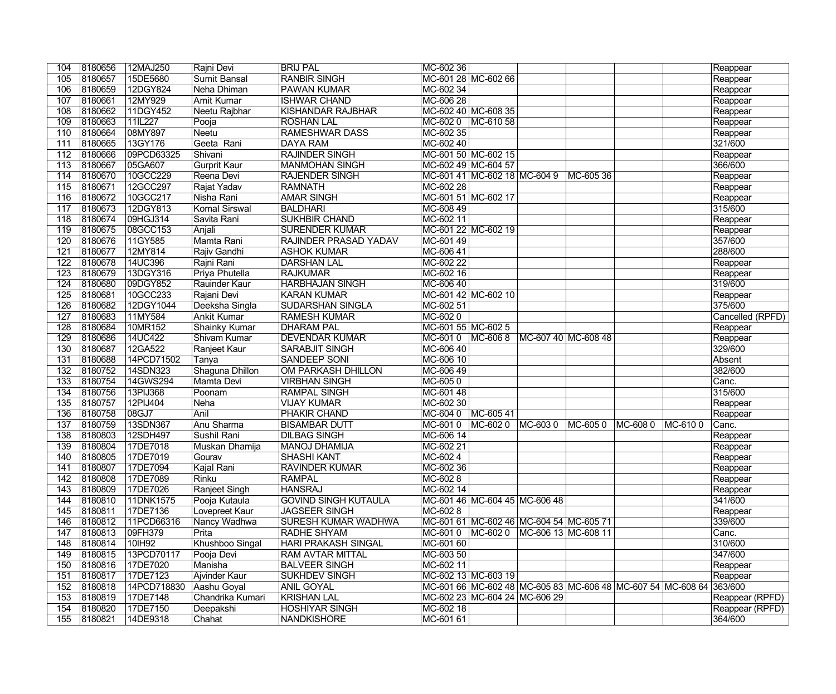| 104              | 8180656 | 12MAJ250    | Rajni Devi           | <b>BRIJ PAL</b>              | MC-602 36           |                               |                                                                     |           |                   | Reappear         |
|------------------|---------|-------------|----------------------|------------------------------|---------------------|-------------------------------|---------------------------------------------------------------------|-----------|-------------------|------------------|
| 105              | 8180657 | 15DE5680    | Sumit Bansal         | <b>RANBIR SINGH</b>          |                     | MC-601 28 MC-602 66           |                                                                     |           |                   | Reappear         |
| 106              | 8180659 | 12DGY824    | Neha Dhiman          | <b>PAWAN KUMAR</b>           | MC-602 34           |                               |                                                                     |           |                   | Reappear         |
| 107              | 8180661 | 12MY929     | <b>Amit Kumar</b>    | <b>ISHWAR CHAND</b>          | MC-606 28           |                               |                                                                     |           |                   | Reappear         |
| 108              | 8180662 | 11DGY452    | Neetu Rajbhar        | <b>KISHANDAR RAJBHAR</b>     |                     | MC-602 40 MC-608 35           |                                                                     |           |                   | Reappear         |
| 109              | 8180663 | 11IL227     | Pooja                | <b>ROSHAN LAL</b>            | MC-6020             | MC-610 58                     |                                                                     |           |                   | Reappear         |
| 110              | 8180664 | 08MY897     | <b>Neetu</b>         | <b>RAMESHWAR DASS</b>        | MC-602 35           |                               |                                                                     |           |                   | Reappear         |
| 111              | 8180665 | 13GY176     | Geeta Rani           | DAYA RAM                     | MC-602 40           |                               |                                                                     |           |                   | 321/600          |
| 112              | 8180666 | 09PCD63325  | Shivani              | <b>RAJINDER SINGH</b>        |                     | MC-601 50 MC-602 15           |                                                                     |           |                   | Reappear         |
| 113              | 8180667 | 05GA607     | <b>Gurprit Kaur</b>  | MANMOHAN SINGH               | MC-602 49 MC-604 57 |                               |                                                                     |           |                   | 366/600          |
| 114              | 8180670 | 10GCC229    | Reena Devi           | <b>RAJENDER SINGH</b>        |                     | MC-601 41 MC-602 18 MC-604 9  |                                                                     | MC-605 36 |                   | Reappear         |
| 115              | 8180671 | 12GCC297    | Rajat Yadav          | RAMNATH                      | MC-602 28           |                               |                                                                     |           |                   | Reappear         |
| 116              | 8180672 | 10GCC217    | Nisha Rani           | <b>AMAR SINGH</b>            |                     | MC-601 51 MC-602 17           |                                                                     |           |                   | Reappear         |
| 117              | 8180673 | 12DGY813    | Komal Sirswal        | <b>BALDHARI</b>              | MC-608 49           |                               |                                                                     |           |                   | 315/600          |
| 118              | 8180674 | 09HGJ314    | Savita Rani          | <b>SUKHBIR CHAND</b>         | MC-602 11           |                               |                                                                     |           |                   | Reappear         |
| 119              | 8180675 | 08GCC153    | Anjali               | <b>SURENDER KUMAR</b>        |                     | MC-601 22 MC-602 19           |                                                                     |           |                   | Reappear         |
| 120              | 8180676 | 11GY585     | Mamta Rani           | <b>RAJINDER PRASAD YADAV</b> | MC-601 49           |                               |                                                                     |           |                   | 357/600          |
| 121              | 8180677 | 12MY814     | Rajiv Gandhi         | <b>ASHOK KUMAR</b>           | MC-606 41           |                               |                                                                     |           |                   | 288/600          |
| 122              | 8180678 | 14UC396     | Rajni Rani           | <b>DARSHAN LAL</b>           | MC-602 22           |                               |                                                                     |           |                   | Reappear         |
| 123              | 8180679 | 13DGY316    | Priya Phutella       | RAJKUMAR                     | MC-602 16           |                               |                                                                     |           |                   | Reappear         |
| 124              | 8180680 | 09DGY852    | Rauinder Kaur        | <b>HARBHAJAN SINGH</b>       | MC-606 40           |                               |                                                                     |           |                   | 319/600          |
| 125              | 8180681 | 10GCC233    | Rajani Devi          | <b>KARAN KUMAR</b>           |                     | MC-601 42 MC-602 10           |                                                                     |           |                   | Reappear         |
| 126              | 8180682 | 12DGY1044   | Deeksha Singla       | <b>SUDARSHAN SINGLA</b>      | MC-602 51           |                               |                                                                     |           |                   | 375/600          |
| 127              | 8180683 | 11MY584     | <b>Ankit Kumar</b>   | <b>RAMESH KUMAR</b>          | MC-6020             |                               |                                                                     |           |                   | Cancelled (RPFD) |
| 128              | 8180684 | 10MR152     | <b>Shainky Kumar</b> | <b>DHARAM PAL</b>            | MC-601 55 MC-602 5  |                               |                                                                     |           |                   | Reappear         |
| 129              | 8180686 | 14UC422     | Shivam Kumar         | <b>DEVENDAR KUMAR</b>        |                     |                               | MC-601 0  MC-606 8  MC-607 40  MC-608 48                            |           |                   | Reappear         |
| 130              | 8180687 | 12GA522     | Ranjeet Kaur         | <b>SARABJIT SINGH</b>        | MC-606 40           |                               |                                                                     |           |                   | 329/600          |
| 131              | 8180688 | 14PCD71502  | Tanya                | <b>SANDEEP SONI</b>          | MC-606 10           |                               |                                                                     |           |                   | Absent           |
| 132              | 8180752 | 14SDN323    | Shaguna Dhillon      | <b>OM PARKASH DHILLON</b>    | MC-606 49           |                               |                                                                     |           |                   | 382/600          |
| 133              | 8180754 | 14GWS294    | Mamta Devi           | <b>VIRBHAN SINGH</b>         | MC-6050             |                               |                                                                     |           |                   | Canc.            |
| 134              | 8180756 | 13PIJ368    | Poonam               | <b>RAMPAL SINGH</b>          | MC-601 48           |                               |                                                                     |           |                   | 315/600          |
| $\overline{135}$ | 8180757 | 12PIJ404    | Neha                 | <b>VIJAY KUMAR</b>           | MC-602 30           |                               |                                                                     |           |                   | Reappear         |
| 136              | 8180758 | 08GJ7       | Anil                 | <b>PHAKIR CHAND</b>          | MC-604 0            | MC-60541                      |                                                                     |           |                   | Reappear         |
| 137              | 8180759 | 13SDN367    | Anu Sharma           | <b>BISAMBAR DUTT</b>         | MC-6010             | MC-602 0                      | MC-603 0                                                            | MC-605 0  | MC-608 0 MC-610 0 | Canc.            |
| 138              | 8180803 | 12SDH497    | Sushil Rani          | <b>DILBAG SINGH</b>          | MC-606 14           |                               |                                                                     |           |                   | Reappear         |
| 139              | 8180804 | 17DE7018    | Muskan Dhamija       | MANOJ DHAMIJA                | MC-602 21           |                               |                                                                     |           |                   | Reappear         |
| 140              | 8180805 | 17DE7019    | Gourav               | <b>SHASHI KANT</b>           | MC-602 4            |                               |                                                                     |           |                   | Reappear         |
| 141              | 8180807 | 17DE7094    | Kajal Rani           | <b>RAVINDER KUMAR</b>        | MC-602 36           |                               |                                                                     |           |                   | Reappear         |
| 142              | 8180808 | 17DE7089    | Rinku                | <b>RAMPAL</b>                | MC-6028             |                               |                                                                     |           |                   | Reappear         |
| 143              | 8180809 | 17DE7026    | Ranjeet Singh        | <b>HANSRAJ</b>               | MC-602 14           |                               |                                                                     |           |                   | Reappear         |
| 144              | 8180810 | 11DNK1575   | Pooja Kutaula        | <b>GOVIND SINGH KUTAULA</b>  |                     | MC-601 46 MC-604 45 MC-606 48 |                                                                     |           |                   | 341/600          |
| 145              | 8180811 | 17DE7136    | Lovepreet Kaur       | <b>JAGSEER SINGH</b>         | MC-6028             |                               |                                                                     |           |                   | Reappear         |
| 146              | 8180812 | 11PCD66316  | Nancy Wadhwa         | SURESH KUMAR WADHWA          |                     |                               | MC-601 61  MC-602 46  MC-604 54  MC-605 71                          |           |                   | 339/600          |
| 147              | 8180813 | 09FH379     | Prita                | <b>RADHE SHYAM</b>           |                     |                               | MC-601 0  MC-602 0  MC-606 13  MC-608 11                            |           |                   | Canc.            |
| 148              | 8180814 | 10IH92      | Khushboo Singal      | <b>HARI PRAKASH SINGAL</b>   | MC-601 60           |                               |                                                                     |           |                   | 310/600          |
| 149              | 8180815 | 13PCD70117  | Pooja Devi           | <b>RAM AVTAR MITTAL</b>      | MC-603 50           |                               |                                                                     |           |                   | 347/600          |
| 150              | 8180816 | 17DE7020    | Manisha              | <b>BALVEER SINGH</b>         | MC-602 11           |                               |                                                                     |           |                   | Reappear         |
| 151              | 8180817 | 17DE7123    | Ajvinder Kaur        | <b>SUKHDEV SINGH</b>         |                     | MC-602 13 MC-603 19           |                                                                     |           |                   | Reappear         |
| 152              | 8180818 | 14PCD718830 | Aashu Goyal          | <b>ANIL GOYAL</b>            |                     |                               | MC-601 66 MC-602 48 MC-605 83 MC-606 48 MC-607 54 MC-608 64 363/600 |           |                   |                  |
| 153              | 8180819 | 17DE7148    | Chandrika Kumari     | <b>KRISHAN LAL</b>           |                     | MC-602 23 MC-604 24 MC-606 29 |                                                                     |           |                   | Reappear (RPFD)  |
| 154              | 8180820 | 17DE7150    | Deepakshi            | <b>HOSHIYAR SINGH</b>        | MC-602 18           |                               |                                                                     |           |                   | Reappear (RPFD)  |
| 155              | 8180821 | 14DE9318    | Chahat               | NANDKISHORE                  | MC-601 61           |                               |                                                                     |           |                   | 364/600          |
|                  |         |             |                      |                              |                     |                               |                                                                     |           |                   |                  |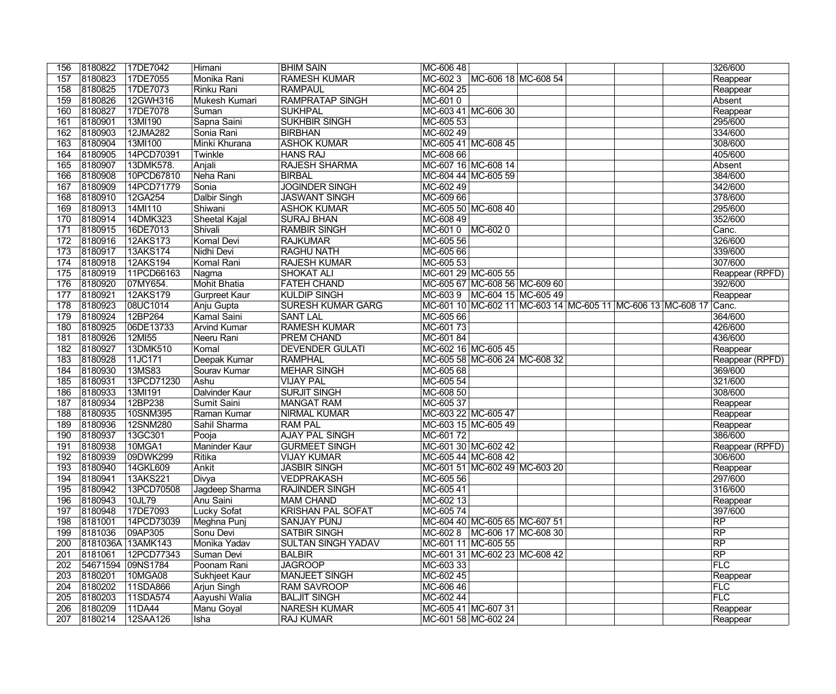| 156        | 8180822            | 17DE7042             | Himani                    | <b>BHIM SAIN</b>                        | MC-606 48           |                                  |                                  |                                                                   | 326/600                    |
|------------|--------------------|----------------------|---------------------------|-----------------------------------------|---------------------|----------------------------------|----------------------------------|-------------------------------------------------------------------|----------------------------|
| 157        | 8180823            | 17DE7055             | Monika Rani               | <b>RAMESH KUMAR</b>                     |                     | MC-602 3 MC-606 18 MC-608 54     |                                  |                                                                   | Reappear                   |
| 158        | 8180825            | 17DE7073             | Rinku Rani                | <b>RAMPAUL</b>                          | MC-604 25           |                                  |                                  |                                                                   | Reappear                   |
| 159        | 8180826            | 12GWH316             | Mukesh Kumari             | <b>RAMPRATAP SINGH</b>                  | MC-6010             |                                  |                                  |                                                                   | Absent                     |
| 160        | 8180827            | 17DE7078             | Suman                     | <b>SUKHPAL</b>                          |                     | MC-603 41 MC-606 30              |                                  |                                                                   | Reappear                   |
| 161        | 8180901            | 13MI190              | Sapna Saini               | <b>SUKHBIR SINGH</b>                    | MC-605 53           |                                  |                                  |                                                                   | 295/600                    |
| 162        | 8180903            | 12JMA282             | Sonia Rani                | <b>BIRBHAN</b>                          | MC-602 49           |                                  |                                  |                                                                   | 334/600                    |
| 163        | 8180904            | 13MI100              | Minki Khurana             | <b>ASHOK KUMAR</b>                      |                     | MC-605 41 MC-608 45              |                                  |                                                                   | 308/600                    |
| 164        | 8180905            | 14PCD70391           | Twinkle                   | <b>HANS RAJ</b>                         | MC-608 66           |                                  |                                  |                                                                   | 405/600                    |
| 165        | 8180907            | 13DMK578.            | Anjali                    | <b>RAJESH SHARMA</b>                    | MC-607 16 MC-608 14 |                                  |                                  |                                                                   | Absent                     |
| 166        | 8180908            | 10PCD67810           | Neha Rani                 | <b>BIRBAL</b>                           | MC-604 44 MC-605 59 |                                  |                                  |                                                                   | 384/600                    |
| 167        | 8180909            | 14PCD71779           | Sonia                     | <b>JOGINDER SINGH</b>                   | MC-602 49           |                                  |                                  |                                                                   | 342/600                    |
| 168        | 8180910            | 12GA254              | Dalbir Singh              | <b>JASWANT SINGH</b>                    | MC-609 66           |                                  |                                  |                                                                   | 378/600                    |
| 169        | 8180913            | 14MI110              | Shiwani                   | <b>ASHOK KUMAR</b>                      |                     | MC-605 50 MC-608 40              |                                  |                                                                   | 295/600                    |
| 170        | 8180914            | 14DMK323             | <b>Sheetal Kajal</b>      | <b>SURAJ BHAN</b>                       | MC-608 49           |                                  |                                  |                                                                   | 352/600                    |
| 171        | 8180915            | 16DE7013             | Shivali                   | <b>RAMBIR SINGH</b>                     | MC-601 0   MC-602 0 |                                  |                                  |                                                                   | Canc.                      |
| 172        | 8180916            | 12AKS173             | Komal Devi                | <b>RAJKUMAR</b>                         | MC-605 56           |                                  |                                  |                                                                   | 326/600                    |
| 173        | 8180917            | 13AKS174             | Nidhi Devi                | <b>RAGHU NATH</b>                       | MC-605 66           |                                  |                                  |                                                                   | 339/600                    |
| 174        | 8180918            | 12AKS194             | Komal Rani                | <b>RAJESH KUMAR</b>                     | MC-605 53           |                                  |                                  |                                                                   | 307/600                    |
| 175        | 8180919            | 11PCD66163           |                           | <b>SHOKAT ALI</b>                       |                     | MC-601 29 MC-605 55              |                                  |                                                                   |                            |
| 176        | 8180920            | 07MY654.             | Nagma<br>Mohit Bhatia     | <b>FATEH CHAND</b>                      |                     | MC-605 67 MC-608 56 MC-609 60    |                                  |                                                                   | Reappear (RPFD)<br>392/600 |
|            |                    |                      |                           |                                         |                     |                                  |                                  |                                                                   |                            |
| 177        | 8180921            | 12AKS179             | <b>Gurpreet Kaur</b>      | <b>KULDIP SINGH</b>                     |                     |                                  | MC-603 9   MC-604 15   MC-605 49 |                                                                   | Reappear                   |
| 178        | 8180923            | 08UC1014             | Anju Gupta                | <b>SURESH KUMAR GARG</b>                |                     |                                  |                                  | MC-601 10 MC-602 11 MC-603 14 MC-605 11 MC-606 13 MC-608 17 Canc. |                            |
| 179        | 8180924            | 12BP264              | <b>Kamal Saini</b>        | <b>SANT LAL</b>                         | MC-605 66           |                                  |                                  |                                                                   | 364/600                    |
| 180        | 8180925            | 06DE13733            | <b>Arvind Kumar</b>       | <b>RAMESH KUMAR</b>                     | MC-60173            |                                  |                                  |                                                                   | 426/600                    |
| 181        | 8180926            | 12MI55               | Neeru Rani                | <b>PREM CHAND</b>                       | MC-601 84           |                                  |                                  |                                                                   | 436/600                    |
| 182        | 8180927            | 13DMK510             | Komal                     | <b>DEVENDER GULATI</b>                  |                     | MC-602 16 MC-605 45              |                                  |                                                                   | Reappear                   |
| 183        | 8180928            | 11JC171              | Deepak Kumar              | <b>RAMPHAL</b>                          |                     | MC-605 58 MC-606 24 MC-608 32    |                                  |                                                                   | Reappear (RPFD)            |
| 184        | 8180930            | 13MS83               | Sourav Kumar              | <b>MEHAR SINGH</b>                      | MC-605 68           |                                  |                                  |                                                                   | 369/600                    |
| 185        | 8180931            | 13PCD71230           | Ashu                      | <b>VIJAY PAL</b>                        | MC-605 54           |                                  |                                  |                                                                   | 321/600                    |
| 186        | 8180933            | 13MI191              | <b>Dalvinder Kaur</b>     | <b>SURJIT SINGH</b>                     | MC-608 50           |                                  |                                  |                                                                   | 308/600                    |
| 187        | 8180934            | 12BP238              | Sumit Saini               | <b>MANGAT RAM</b>                       | MC-605 37           |                                  |                                  |                                                                   | Reappear                   |
| 188        | 8180935            | 10SNM395             | Raman Kumar               | <b>NIRMAL KUMAR</b>                     |                     | MC-603 22 MC-605 47              |                                  |                                                                   | Reappear                   |
| 189        | 8180936            | 12SNM280             | Sahil Sharma              | <b>RAM PAL</b>                          |                     | MC-603 15 MC-605 49              |                                  |                                                                   | Reappear                   |
| 190        | 8180937            | 13GC301              | Pooja                     | <b>AJAY PAL SINGH</b>                   | MC-60172            |                                  |                                  |                                                                   | 386/600                    |
| 191        | 8180938            | 10MGA1               | Maninder Kaur             | <b>GURMEET SINGH</b>                    |                     | MC-601 30 MC-602 42              |                                  |                                                                   | Reappear (RPFD)            |
|            |                    | 192 8180939 09DWK299 | Ritika                    | <b>VIJAY KUMAR</b>                      |                     | MC-605 44 MC-608 42              |                                  |                                                                   | 306/600                    |
| 193        | 8180940            | 14GKL609             | Ankit                     | <b>JASBIR SINGH</b>                     |                     | MC-601 51 MC-602 49 MC-603 20    |                                  |                                                                   | Reappear                   |
| 194        | 8180941            | 13AKS221             | Divya                     | <b>VEDPRAKASH</b>                       | MC-605 56           |                                  |                                  |                                                                   | 297/600                    |
| 195        | 8180942            | 13PCD70508           | Jagdeep Sharma            | <b>RAJINDER SINGH</b>                   | MC-605 41           |                                  |                                  |                                                                   | 316/600                    |
| 196        | 8180943            | 10JL79               | Anu Saini                 | <b>MAM CHAND</b>                        | MC-602 13           |                                  |                                  |                                                                   | Reappear                   |
| 197        | 8180948            | 17DE7093             | <b>Lucky Sofat</b>        | <b>KRISHAN PAL SOFAT</b>                | MC-605 74           |                                  |                                  |                                                                   | 397/600                    |
| 198        | 8181001            | 14PCD73039           | Meghna Punj               | <b>SANJAY PUNJ</b>                      |                     | MC-604 40 MC-605 65 MC-607 51    |                                  |                                                                   | RP                         |
| 199        | 8181036            | 09AP305              | Sonu Devi                 | <b>SATBIR SINGH</b>                     |                     | MC-602 8   MC-606 17   MC-608 30 |                                  |                                                                   | RP                         |
| 200        |                    | 8181036A 13AMK143    | Monika Yadav              | <b>SULTAN SINGH YADAV</b>               |                     | MC-601 11 MC-605 55              |                                  |                                                                   | $R$ P                      |
| 201        | 8181061            | 12PCD77343           | Suman Devi                | <b>BALBIR</b>                           |                     | MC-601 31  MC-602 23  MC-608 42  |                                  |                                                                   | RP                         |
| 202        |                    | 54671594 09NS1784    | Poonam Rani               | <b>JAGROOP</b>                          | MC-603 33           |                                  |                                  |                                                                   | <b>FLC</b>                 |
| 203        | 8180201            | 10MGA08              | Sukhjeet Kaur             | MANJEET SINGH                           | MC-602 45           |                                  |                                  |                                                                   | Reappear                   |
| 204        | 8180202            | 11SDA866             | Arjun Singh               | <b>RAM SAVROOP</b>                      | MC-606 46           |                                  |                                  |                                                                   | <b>FLC</b>                 |
| 205        | 8180203            | 11SDA574             | Aayushi Walia             | <b>BALJIT SINGH</b>                     | MC-602 44           |                                  |                                  |                                                                   | FLC                        |
|            |                    |                      |                           |                                         |                     |                                  |                                  |                                                                   |                            |
|            |                    |                      |                           |                                         |                     |                                  |                                  |                                                                   |                            |
| 206<br>207 | 8180209<br>8180214 | 11DA44<br>12SAA126   | Manu Goyal<br><b>Isha</b> | <b>NARESH KUMAR</b><br><b>RAJ KUMAR</b> | MC-605 41 MC-607 31 | MC-601 58 MC-602 24              |                                  |                                                                   | Reappear<br>Reappear       |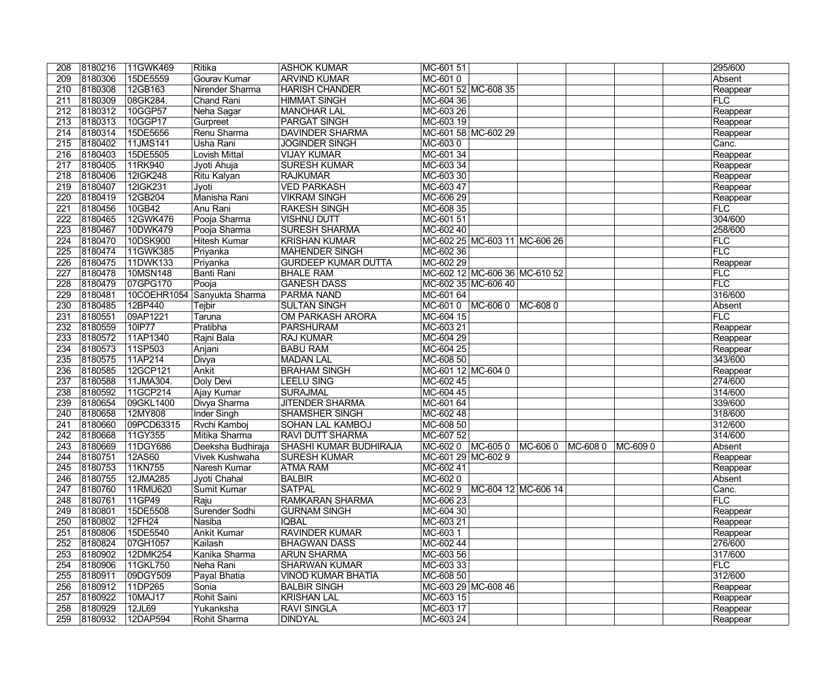| 208              | 8180216            | 11GWK469   | Ritika                      | <b>ASHOK KUMAR</b>            | MC-601 51          |                               |          |          |         | 295/600    |
|------------------|--------------------|------------|-----------------------------|-------------------------------|--------------------|-------------------------------|----------|----------|---------|------------|
| 209              | 8180306            | 15DE5559   | Gourav Kumar                | <b>ARVIND KUMAR</b>           | MC-6010            |                               |          |          |         | Absent     |
| 210              | 8180308            | 12GB163    | Nirender Sharma             | <b>HARISH CHANDER</b>         |                    | MC-601 52 MC-608 35           |          |          |         | Reappear   |
| 211              | 8180309            | 08GK284.   | Chand Rani                  | <b>HIMMAT SINGH</b>           | MC-604 36          |                               |          |          |         | FLC        |
| 212              | 8180312            | 10GGP57    | Neha Sagar                  | <b>MANOHAR LAL</b>            | MC-603 26          |                               |          |          |         | Reappear   |
| 213              | 8180313            | 10GGP17    | Gurpreet                    | <b>PARGAT SINGH</b>           | MC-603 19          |                               |          |          |         | Reappear   |
| 214              | 8180314            | 15DE5656   | Renu Sharma                 | <b>DAVINDER SHARMA</b>        |                    | MC-601 58 MC-602 29           |          |          |         | Reappear   |
| 215              | 8180402            | 11JMS141   | Usha Rani                   | <b>JOGINDER SINGH</b>         | MC-6030            |                               |          |          |         | Canc.      |
| 216              | 8180403            | 15DE5505   | Lovish Mittal               | <b>VIJAY KUMAR</b>            | MC-601 34          |                               |          |          |         | Reappear   |
| $\overline{217}$ | 8180405            | 11RK940    | Jyoti Ahuja                 | <b>SURESH KUMAR</b>           | MC-603 34          |                               |          |          |         | Reappear   |
| 218              | 8180406            | 12IGK248   | Ritu Kalyan                 | <b>RAJKUMAR</b>               | MC-603 30          |                               |          |          |         | Reappear   |
| $\overline{219}$ | 8180407            | 12IGK231   | Jyoti                       | <b>VED PARKASH</b>            | MC-603 47          |                               |          |          |         | Reappear   |
| $\overline{220}$ | 8180419            | 12GB204    | Manisha Rani                | <b>VIKRAM SINGH</b>           | MC-606 29          |                               |          |          |         | Reappear   |
| $\overline{221}$ | 8180456            | 10GB42     | Anu Rani                    | <b>RAKESH SINGH</b>           | MC-608 35          |                               |          |          |         | FLC        |
| 222              | 8180465            | 12GWK476   | Pooja Sharma                | <b>VISHNU DUTT</b>            | MC-601 51          |                               |          |          |         | 304/600    |
| $\overline{223}$ | 8180467            | 10DWK479   | Pooja Sharma                | <b>SURESH SHARMA</b>          | MC-602 40          |                               |          |          |         | 258/600    |
| 224              | 8180470            | 10DSK900   | <b>Hitesh Kumar</b>         | <b>KRISHAN KUMAR</b>          |                    | MC-602 25 MC-603 11 MC-606 26 |          |          |         | FLC        |
| 225              | 8180474            | 11GWK385   | Priyanka                    | <b>MAHENDER SINGH</b>         | MC-602 36          |                               |          |          |         | FLC        |
| 226              | 8180475            | 11DWK133   | Priyanka                    | <b>GURDEEP KUMAR DUTTA</b>    | MC-602 29          |                               |          |          |         | Reappear   |
| 227              | 8180478            | 10MSN148   | <b>Banti Rani</b>           | <b>BHALE RAM</b>              |                    | MC-602 12 MC-606 36 MC-610 52 |          |          |         | <b>FLC</b> |
| $\overline{228}$ | 8180479            | 07GPG170   | Pooja                       | <b>GANESH DASS</b>            |                    | MC-602 35 MC-606 40           |          |          |         | FLC        |
| 229              | 8180481            |            | 10COEHR1054 Sanyukta Sharma | <b>PARMA NAND</b>             | MC-601 64          |                               |          |          |         | 316/600    |
| $\overline{230}$ | 8180485            | 12BP440    | Tejbir                      | <b>SULTAN SINGH</b>           | MC-6010            | MC-6060                       | MC-6080  |          |         | Absent     |
| 231              | 8180551            | 09AP1221   | Taruna                      | OM PARKASH ARORA              | MC-604 15          |                               |          |          |         | <b>FLC</b> |
| 232              | 8180559            | 10IP77     | Pratibha                    | <b>PARSHURAM</b>              | MC-603 21          |                               |          |          |         | Reappear   |
| 233              | 8180572            | 11AP1340   | Rajni Bala                  | <b>RAJ KUMAR</b>              | MC-604 29          |                               |          |          |         | Reappear   |
| 234              | 8180573            | 11SP503    | Anjani                      | <b>BABU RAM</b>               | MC-604 25          |                               |          |          |         | Reappear   |
| 235              | 8180575            | 11AP214    | Divya                       | <b>MADAN LAL</b>              | MC-608 50          |                               |          |          |         | 343/600    |
| 236              | 8180585            | 12GCP121   | Ankit                       | <b>BRAHAM SINGH</b>           | MC-601 12 MC-604 0 |                               |          |          |         | Reappear   |
| 237              | 8180588            | 11JMA304.  | Doly Devi                   | <b>LEELU SING</b>             | MC-602 45          |                               |          |          |         | 274/600    |
| 238              | 8180592            | 11GCP214   | Ajay Kumar                  | <b>SURAJMAL</b>               | MC-604 45          |                               |          |          |         | 314/600    |
| 239              | 8180654            | 09GKL1400  | Divya Sharma                | <b>JITENDER SHARMA</b>        | MC-601 64          |                               |          |          |         | 339/600    |
| 240              | 8180658            | 12MY808    | <b>Inder Singh</b>          | <b>SHAMSHER SINGH</b>         | MC-602 48          |                               |          |          |         | 318/600    |
| 241              | 8180660            | 09PCD63315 | <b>Rvchi Kamboj</b>         | <b>SOHAN LAL KAMBOJ</b>       | MC-608 50          |                               |          |          |         | 312/600    |
| 242              | 8180668            | 11GY355    | Mitika Sharma               | <b>RAVI DUTT SHARMA</b>       | MC-607 52          |                               |          |          |         | 314/600    |
| $\overline{243}$ | 8180669            | 11DGY686   | Deeksha Budhiraja           | <b>SHASHI KUMAR BUDHIRAJA</b> | MC-602 0 MC-605 0  |                               | MC-606 0 | MC-608 0 | MC-6090 | Absent     |
| $\overline{244}$ | 8180751            | 12A560     | Vivek Kushwaha              | <b>SURESH KUMAR</b>           | MC-601 29 MC-602 9 |                               |          |          |         | Reappear   |
| 245              | 8180753            | 11KN755    | Naresh Kumar                | ATMA RAM                      | MC-602 41          |                               |          |          |         | Reappear   |
| 246              | 8180755            | 12JMA285   | Jyoti Chahal                | <b>BALBIR</b>                 | MC-6020            |                               |          |          |         | Absent     |
| 247              | 8180760            | 11RMU620   | <b>Sumit Kumar</b>          | <b>SATPAL</b>                 | MC-602 9           | MC-604 12 MC-606 14           |          |          |         | Canc.      |
| 248              | 8180761            | 11GP49     | Raju                        | <b>RAMKARAN SHARMA</b>        | MC-606 23          |                               |          |          |         | FLC        |
| 249              | 8180801            | 15DE5508   | Surender Sodhi              | <b>GURNAM SINGH</b>           | MC-604 30          |                               |          |          |         | Reappear   |
| 250              | 8180802            | 12FH24     | Nasiba                      | <b>IQBAL</b>                  | MC-603 21          |                               |          |          |         | Reappear   |
| 251              | 8180806            | 15DE5540   | Ankit Kumar                 | <b>RAVINDER KUMAR</b>         | MC-603 1           |                               |          |          |         | Reappear   |
| 252              | 8180824            | 07GH1057   | Kailash                     | <b>BHAGWAN DASS</b>           | MC-602 44          |                               |          |          |         | 276/600    |
| 253              | 8180902            | 12DMK254   | Kanika Sharma               | <b>ARUN SHARMA</b>            | MC-603 56          |                               |          |          |         | 317/600    |
| 254              | 8180906            | 11GKL750   | Neha Rani                   | <b>SHARWAN KUMAR</b>          | MC-603 33          |                               |          |          |         | FLC        |
| 255              | 8180911            | 09DGY509   | Payal Bhatia                | <b>VINOD KUMAR BHATIA</b>     | MC-608 50          |                               |          |          |         | 312/600    |
| 256              | 8180912            | 11DP265    | Sonia                       | <b>BALBIR SINGH</b>           |                    | MC-603 29 MC-608 46           |          |          |         | Reappear   |
| 257              | 8180922            | 10MAJ17    | Rohit Saini                 | <b>KRISHAN LAL</b>            | MC-603 15          |                               |          |          |         | Reappear   |
| 258              |                    | 12JL69     | Yukanksha                   | <b>RAVI SINGLA</b>            | MC-603 17          |                               |          |          |         | Reappear   |
| 259              | 8180929<br>8180932 | 12DAP594   | Rohit Sharma                | <b>DINDYAL</b>                | MC-603 24          |                               |          |          |         | Reappear   |